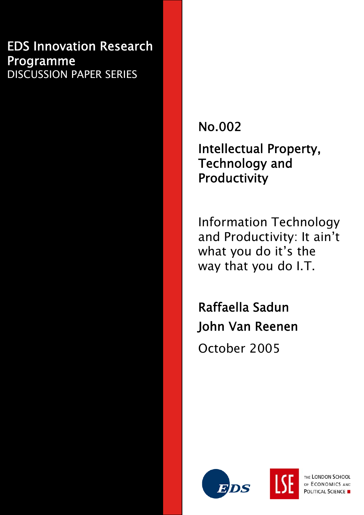# EDS Innovation Research Programme DISCUSSION PAPER SERIES

No.002

Intellectual Property, Technology and Productivity

Information Technology and Productivity: It ain't what you do it's the way that you do I.T.

Raffaella Sadun John Van Reenen October 2005





THE LONDON SCHOOL OF ECONOMICS AND POLITICAL SCIENCE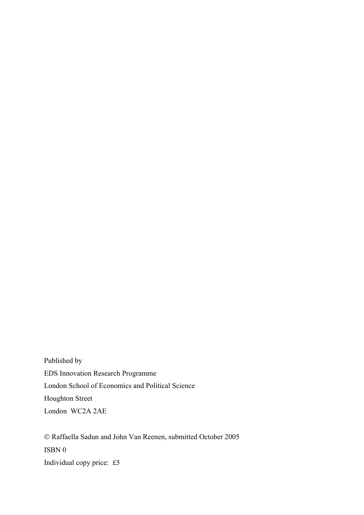Published by EDS Innovation Research Programme London School of Economics and Political Science Houghton Street London WC2A 2AE

© Raffaella Sadun and John Van Reenen, submitted October 2005 ISBN 0 Individual copy price: £5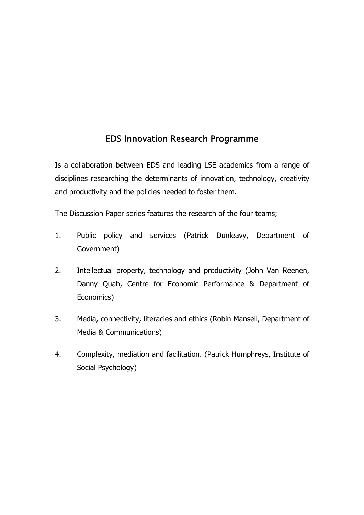# EDS Innovation Research Programme

Is a collaboration between EDS and leading LSE academics from a range of disciplines researching the determinants of innovation, technology, creativity and productivity and the policies needed to foster them.

The Discussion Paper series features the research of the four teams;

- 1. Public policy and services (Patrick Dunleavy, Department of Government)
- 2. Intellectual property, technology and productivity (John Van Reenen, Danny Quah, Centre for Economic Performance & Department of Economics)
- 3. Media, connectivity, literacies and ethics (Robin Mansell, Department of Media & Communications)
- 4. Complexity, mediation and facilitation. (Patrick Humphreys, Institute of Social Psychology)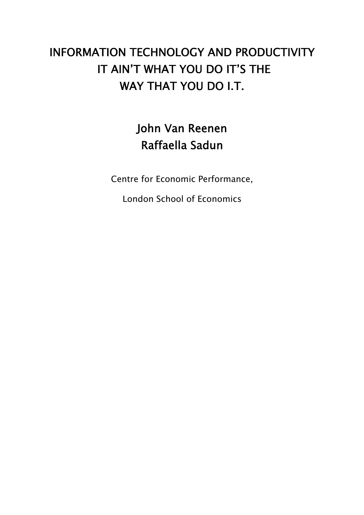# INFORMATION TECHNOLOGY AND PRODUCTIVITY IT AIN'T WHAT YOU DO IT'S THE WAY THAT YOU DO I.T.

# John Van Reenen Raffaella Sadun

Centre for Economic Performance,

London School of Economics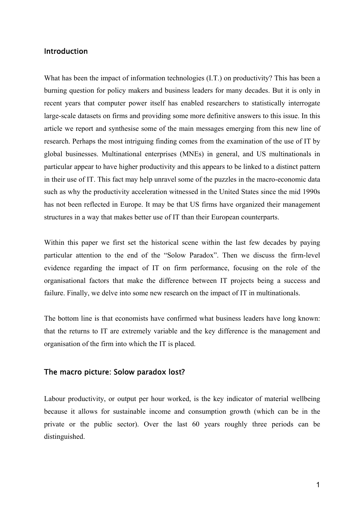### Introduction

What has been the impact of information technologies (I.T.) on productivity? This has been a burning question for policy makers and business leaders for many decades. But it is only in recent years that computer power itself has enabled researchers to statistically interrogate large-scale datasets on firms and providing some more definitive answers to this issue. In this article we report and synthesise some of the main messages emerging from this new line of research. Perhaps the most intriguing finding comes from the examination of the use of IT by global businesses. Multinational enterprises (MNEs) in general, and US multinationals in particular appear to have higher productivity and this appears to be linked to a distinct pattern in their use of IT. This fact may help unravel some of the puzzles in the macro-economic data such as why the productivity acceleration witnessed in the United States since the mid 1990s has not been reflected in Europe. It may be that US firms have organized their management structures in a way that makes better use of IT than their European counterparts.

Within this paper we first set the historical scene within the last few decades by paying particular attention to the end of the "Solow Paradox". Then we discuss the firm-level evidence regarding the impact of IT on firm performance, focusing on the role of the organisational factors that make the difference between IT projects being a success and failure. Finally, we delve into some new research on the impact of IT in multinationals.

The bottom line is that economists have confirmed what business leaders have long known: that the returns to IT are extremely variable and the key difference is the management and organisation of the firm into which the IT is placed.

#### The macro picture: Solow paradox lost?

Labour productivity, or output per hour worked, is the key indicator of material wellbeing because it allows for sustainable income and consumption growth (which can be in the private or the public sector). Over the last 60 years roughly three periods can be distinguished.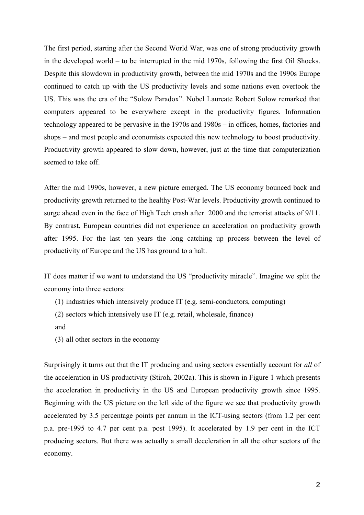The first period, starting after the Second World War, was one of strong productivity growth in the developed world – to be interrupted in the mid 1970s, following the first Oil Shocks. Despite this slowdown in productivity growth, between the mid 1970s and the 1990s Europe continued to catch up with the US productivity levels and some nations even overtook the US. This was the era of the "Solow Paradox". Nobel Laureate Robert Solow remarked that computers appeared to be everywhere except in the productivity figures. Information technology appeared to be pervasive in the 1970s and 1980s – in offices, homes, factories and shops – and most people and economists expected this new technology to boost productivity. Productivity growth appeared to slow down, however, just at the time that computerization seemed to take off.

After the mid 1990s, however, a new picture emerged. The US economy bounced back and productivity growth returned to the healthy Post-War levels. Productivity growth continued to surge ahead even in the face of High Tech crash after 2000 and the terrorist attacks of 9/11. By contrast, European countries did not experience an acceleration on productivity growth after 1995. For the last ten years the long catching up process between the level of productivity of Europe and the US has ground to a halt.

IT does matter if we want to understand the US "productivity miracle". Imagine we split the economy into three sectors:

- (1) industries which intensively produce IT (e.g. semi-conductors, computing)
- (2) sectors which intensively use IT (e.g. retail, wholesale, finance)
- and
- (3) all other sectors in the economy

Surprisingly it turns out that the IT producing and using sectors essentially account for *all* of the acceleration in US productivity (Stiroh, 2002a). This is shown in Figure 1 which presents the acceleration in productivity in the US and European productivity growth since 1995. Beginning with the US picture on the left side of the figure we see that productivity growth accelerated by 3.5 percentage points per annum in the ICT-using sectors (from 1.2 per cent p.a. pre-1995 to 4.7 per cent p.a. post 1995). It accelerated by 1.9 per cent in the ICT producing sectors. But there was actually a small deceleration in all the other sectors of the economy.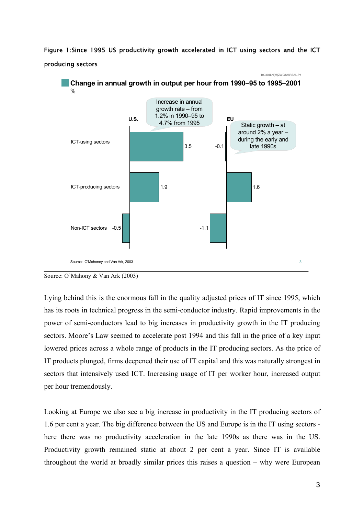Figure 1:Since 1995 US productivity growth accelerated in ICT using sectors and the ICT producing sectors





Lying behind this is the enormous fall in the quality adjusted prices of IT since 1995, which has its roots in technical progress in the semi-conductor industry. Rapid improvements in the power of semi-conductors lead to big increases in productivity growth in the IT producing sectors. Moore's Law seemed to accelerate post 1994 and this fall in the price of a key input lowered prices across a whole range of products in the IT producing sectors. As the price of IT products plunged, firms deepened their use of IT capital and this was naturally strongest in sectors that intensively used ICT. Increasing usage of IT per worker hour, increased output per hour tremendously.

Looking at Europe we also see a big increase in productivity in the IT producing sectors of 1.6 per cent a year. The big difference between the US and Europe is in the IT using sectors here there was no productivity acceleration in the late 1990s as there was in the US. Productivity growth remained static at about 2 per cent a year. Since IT is available throughout the world at broadly similar prices this raises a question – why were European

Source: O'Mahony & Van Ark (2003)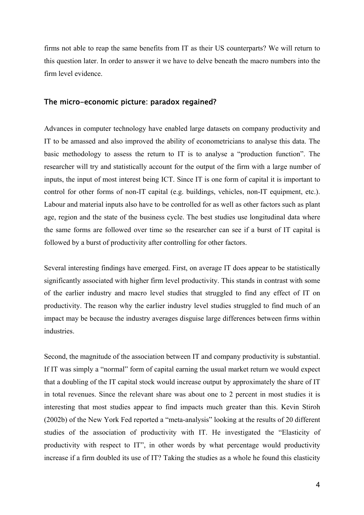firms not able to reap the same benefits from IT as their US counterparts? We will return to this question later. In order to answer it we have to delve beneath the macro numbers into the firm level evidence.

#### The micro-economic picture: paradox regained?

Advances in computer technology have enabled large datasets on company productivity and IT to be amassed and also improved the ability of econometricians to analyse this data. The basic methodology to assess the return to IT is to analyse a "production function". The researcher will try and statistically account for the output of the firm with a large number of inputs, the input of most interest being ICT. Since IT is one form of capital it is important to control for other forms of non-IT capital (e.g. buildings, vehicles, non-IT equipment, etc.). Labour and material inputs also have to be controlled for as well as other factors such as plant age, region and the state of the business cycle. The best studies use longitudinal data where the same forms are followed over time so the researcher can see if a burst of IT capital is followed by a burst of productivity after controlling for other factors.

Several interesting findings have emerged. First, on average IT does appear to be statistically significantly associated with higher firm level productivity. This stands in contrast with some of the earlier industry and macro level studies that struggled to find any effect of IT on productivity. The reason why the earlier industry level studies struggled to find much of an impact may be because the industry averages disguise large differences between firms within industries.

Second, the magnitude of the association between IT and company productivity is substantial. If IT was simply a "normal" form of capital earning the usual market return we would expect that a doubling of the IT capital stock would increase output by approximately the share of IT in total revenues. Since the relevant share was about one to 2 percent in most studies it is interesting that most studies appear to find impacts much greater than this. Kevin Stiroh (2002b) of the New York Fed reported a "meta-analysis" looking at the results of 20 different studies of the association of productivity with IT. He investigated the "Elasticity of productivity with respect to IT", in other words by what percentage would productivity increase if a firm doubled its use of IT? Taking the studies as a whole he found this elasticity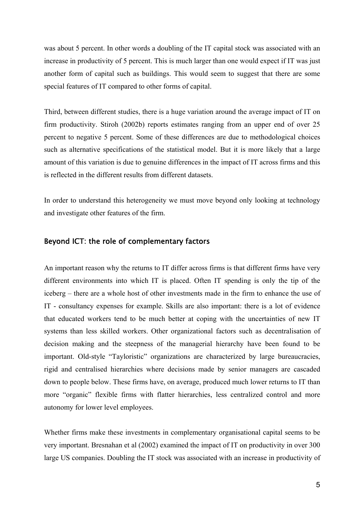was about 5 percent. In other words a doubling of the IT capital stock was associated with an increase in productivity of 5 percent. This is much larger than one would expect if IT was just another form of capital such as buildings. This would seem to suggest that there are some special features of IT compared to other forms of capital.

Third, between different studies, there is a huge variation around the average impact of IT on firm productivity. Stiroh (2002b) reports estimates ranging from an upper end of over 25 percent to negative 5 percent. Some of these differences are due to methodological choices such as alternative specifications of the statistical model. But it is more likely that a large amount of this variation is due to genuine differences in the impact of IT across firms and this is reflected in the different results from different datasets.

In order to understand this heterogeneity we must move beyond only looking at technology and investigate other features of the firm.

### Beyond ICT: the role of complementary factors

An important reason why the returns to IT differ across firms is that different firms have very different environments into which IT is placed. Often IT spending is only the tip of the iceberg – there are a whole host of other investments made in the firm to enhance the use of IT - consultancy expenses for example. Skills are also important: there is a lot of evidence that educated workers tend to be much better at coping with the uncertainties of new IT systems than less skilled workers. Other organizational factors such as decentralisation of decision making and the steepness of the managerial hierarchy have been found to be important. Old-style "Tayloristic" organizations are characterized by large bureaucracies, rigid and centralised hierarchies where decisions made by senior managers are cascaded down to people below. These firms have, on average, produced much lower returns to IT than more "organic" flexible firms with flatter hierarchies, less centralized control and more autonomy for lower level employees.

Whether firms make these investments in complementary organisational capital seems to be very important. Bresnahan et al (2002) examined the impact of IT on productivity in over 300 large US companies. Doubling the IT stock was associated with an increase in productivity of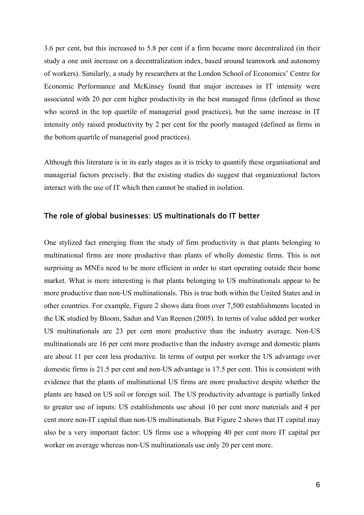3.6 per cent, but this increased to 5.8 per cent if a firm became more decentralized (in their study a one unit increase on a decentralization index, based around teamwork and autonomy of workers). Similarly, a study by researchers at the London School of Economics' Centre for Economic Performance and McKinsey found that major increases in IT intensity were associated with 20 per cent higher productivity in the best managed firms (defined as those who scored in the top quartile of managerial good practices), but the same increase in IT intensity only raised productivity by 2 per cent for the poorly managed (defined as firms in the bottom quartile of managerial good practices).

Although this literature is in its early stages as it is tricky to quantify these organisational and managerial factors precisely. But the existing studies do suggest that organizational factors interact with the use of IT which then cannot be studied in isolation.

#### The role of global businesses: US multinationals do IT better

One stylized fact emerging from the study of firm productivity is that plants belonging to multinational firms are more productive than plants of wholly domestic firms. This is not surprising as MNEs need to be more efficient in order to start operating outside their home market. What is more interesting is that plants belonging to US multinationals appear to be more productive than non-US multinationals. This is true both within the United States and in other countries. For example, Figure 2 shows data from over 7,500 establishments located in the UK studied by Bloom, Sadun and Van Reenen (2005). In terms of value added per worker US multinationals are 23 per cent more productive than the industry average. Non-US multinationals are 16 per cent more productive than the industry average and domestic plants are about 11 per cent less productive. In terms of output per worker the US advantage over domestic firms is 21.5 per cent and non-US advantage is 17.5 per cent. This is consistent with evidence that the plants of multinational US firms are more productive despite whether the plants are based on US soil or foreign soil. The US productivity advantage is partially linked to greater use of inputs: US establishments use about 10 per cent more materials and 4 per cent more non-IT capital than non-US multinationals. But Figure 2 shows that IT capital may also be a very important factor: US firms use a whopping 40 per cent more IT capital per worker on average whereas non-US multinationals use only 20 per cent more.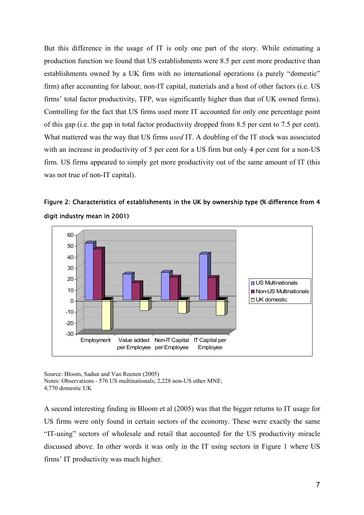But this difference in the usage of IT is only one part of the story. While estimating a production function we found that US establishments were 8.5 per cent more productive than establishments owned by a UK firm with no international operations (a purely "domestic" firm) after accounting for labour, non-IT capital, materials and a host of other factors (i.e. US firms' total factor productivity, TFP, was significantly higher than that of UK owned firms). Controlling for the fact that US firms used more IT accounted for only one percentage point of this gap (i.e. the gap in total factor productivity dropped from 8.5 per cent to 7.5 per cent). What mattered was the way that US firms *used* IT. A doubling of the IT stock was associated with an increase in productivity of 5 per cent for a US firm but only 4 per cent for a non-US firm. US firms appeared to simply get more productivity out of the same amount of IT (this was not true of non-IT capital).





Source: Bloom, Sadun and Van Reenen (2005) Notes: Observations - 576 US multinationals; 2,228 non-US other MNE; 4,770 domestic UK

A second interesting finding in Bloom et al (2005) was that the bigger returns to IT usage for US firms were only found in certain sectors of the economy. These were exactly the same "IT-using" sectors of wholesale and retail that accounted for the US productivity miracle discussed above. In other words it was only in the IT using sectors in Figure 1 where US firms' IT productivity was much higher.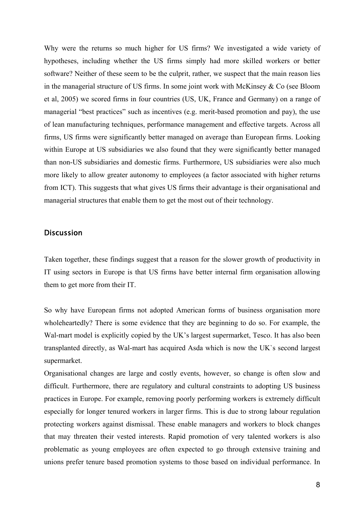Why were the returns so much higher for US firms? We investigated a wide variety of hypotheses, including whether the US firms simply had more skilled workers or better software? Neither of these seem to be the culprit, rather, we suspect that the main reason lies in the managerial structure of US firms. In some joint work with McKinsey & Co (see Bloom et al, 2005) we scored firms in four countries (US, UK, France and Germany) on a range of managerial "best practices" such as incentives (e.g. merit-based promotion and pay), the use of lean manufacturing techniques, performance management and effective targets. Across all firms, US firms were significantly better managed on average than European firms. Looking within Europe at US subsidiaries we also found that they were significantly better managed than non-US subsidiaries and domestic firms. Furthermore, US subsidiaries were also much more likely to allow greater autonomy to employees (a factor associated with higher returns from ICT). This suggests that what gives US firms their advantage is their organisational and managerial structures that enable them to get the most out of their technology.

#### Discussion

Taken together, these findings suggest that a reason for the slower growth of productivity in IT using sectors in Europe is that US firms have better internal firm organisation allowing them to get more from their IT.

So why have European firms not adopted American forms of business organisation more wholeheartedly? There is some evidence that they are beginning to do so. For example, the Wal-mart model is explicitly copied by the UK's largest supermarket, Tesco. It has also been transplanted directly, as Wal-mart has acquired Asda which is now the UK`s second largest supermarket.

Organisational changes are large and costly events, however, so change is often slow and difficult. Furthermore, there are regulatory and cultural constraints to adopting US business practices in Europe. For example, removing poorly performing workers is extremely difficult especially for longer tenured workers in larger firms. This is due to strong labour regulation protecting workers against dismissal. These enable managers and workers to block changes that may threaten their vested interests. Rapid promotion of very talented workers is also problematic as young employees are often expected to go through extensive training and unions prefer tenure based promotion systems to those based on individual performance. In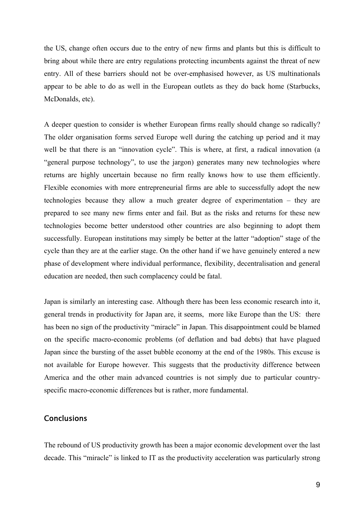the US, change often occurs due to the entry of new firms and plants but this is difficult to bring about while there are entry regulations protecting incumbents against the threat of new entry. All of these barriers should not be over-emphasised however, as US multinationals appear to be able to do as well in the European outlets as they do back home (Starbucks, McDonalds, etc).

A deeper question to consider is whether European firms really should change so radically? The older organisation forms served Europe well during the catching up period and it may well be that there is an "innovation cycle". This is where, at first, a radical innovation (a "general purpose technology", to use the jargon) generates many new technologies where returns are highly uncertain because no firm really knows how to use them efficiently. Flexible economies with more entrepreneurial firms are able to successfully adopt the new technologies because they allow a much greater degree of experimentation – they are prepared to see many new firms enter and fail. But as the risks and returns for these new technologies become better understood other countries are also beginning to adopt them successfully. European institutions may simply be better at the latter "adoption" stage of the cycle than they are at the earlier stage. On the other hand if we have genuinely entered a new phase of development where individual performance, flexibility, decentralisation and general education are needed, then such complacency could be fatal.

Japan is similarly an interesting case. Although there has been less economic research into it, general trends in productivity for Japan are, it seems, more like Europe than the US: there has been no sign of the productivity "miracle" in Japan. This disappointment could be blamed on the specific macro-economic problems (of deflation and bad debts) that have plagued Japan since the bursting of the asset bubble economy at the end of the 1980s. This excuse is not available for Europe however. This suggests that the productivity difference between America and the other main advanced countries is not simply due to particular countryspecific macro-economic differences but is rather, more fundamental.

## **Conclusions**

The rebound of US productivity growth has been a major economic development over the last decade. This "miracle" is linked to IT as the productivity acceleration was particularly strong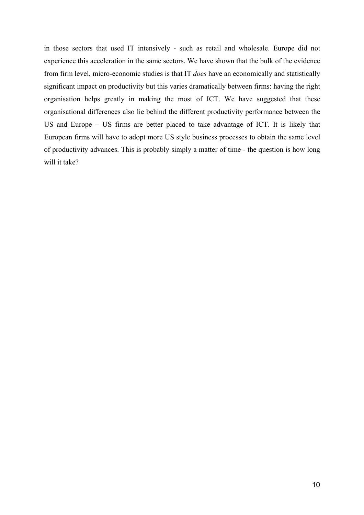in those sectors that used IT intensively - such as retail and wholesale. Europe did not experience this acceleration in the same sectors. We have shown that the bulk of the evidence from firm level, micro-economic studies is that IT *does* have an economically and statistically significant impact on productivity but this varies dramatically between firms: having the right organisation helps greatly in making the most of ICT. We have suggested that these organisational differences also lie behind the different productivity performance between the US and Europe – US firms are better placed to take advantage of ICT. It is likely that European firms will have to adopt more US style business processes to obtain the same level of productivity advances. This is probably simply a matter of time - the question is how long will it take?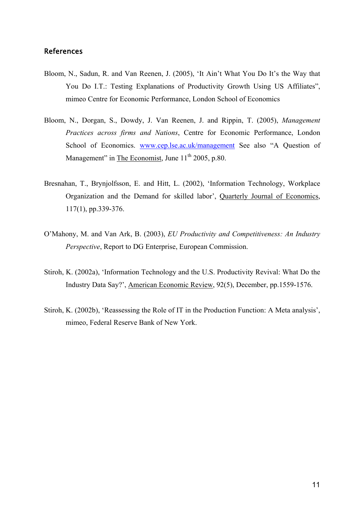## References

- Bloom, N., Sadun, R. and Van Reenen, J. (2005), 'It Ain't What You Do It's the Way that You Do I.T.: Testing Explanations of Productivity Growth Using US Affiliates", mimeo Centre for Economic Performance, London School of Economics
- Bloom, N., Dorgan, S., Dowdy, J. Van Reenen, J. and Rippin, T. (2005), *Management Practices across firms and Nations*, Centre for Economic Performance, London School of Economics. [www.cep.lse.ac.uk/management](http://www.cep.lse.ac.uk/management) See also "A Ouestion of Management" in The Economist, June  $11<sup>th</sup>$  2005, p.80.
- Bresnahan, T., Brynjolfsson, E. and Hitt, L. (2002), 'Information Technology, Workplace Organization and the Demand for skilled labor', Quarterly Journal of Economics, 117(1), pp.339-376.
- O'Mahony, M. and Van Ark, B. (2003), *EU Productivity and Competitiveness: An Industry Perspective*, Report to DG Enterprise, European Commission.
- Stiroh, K. (2002a), 'Information Technology and the U.S. Productivity Revival: What Do the Industry Data Say?', American Economic Review, 92(5), December, pp.1559-1576.
- Stiroh, K. (2002b), 'Reassessing the Role of IT in the Production Function: A Meta analysis', mimeo, Federal Reserve Bank of New York.